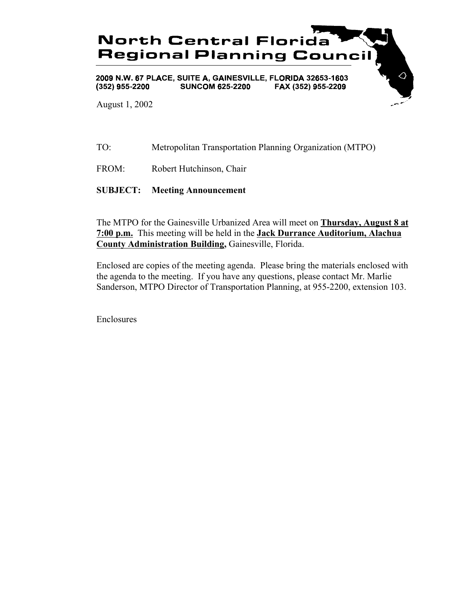

TO: Metropolitan Transportation Planning Organization (MTPO)

FROM: Robert Hutchinson, Chair

**SUBJECT: Meeting Announcement**

The MTPO for the Gainesville Urbanized Area will meet on **Thursday, August 8 at 7:00 p.m.** This meeting will be held in the **Jack Durrance Auditorium, Alachua County Administration Building,** Gainesville, Florida.

Enclosed are copies of the meeting agenda. Please bring the materials enclosed with the agenda to the meeting. If you have any questions, please contact Mr. Marlie Sanderson, MTPO Director of Transportation Planning, at 955-2200, extension 103.

Enclosures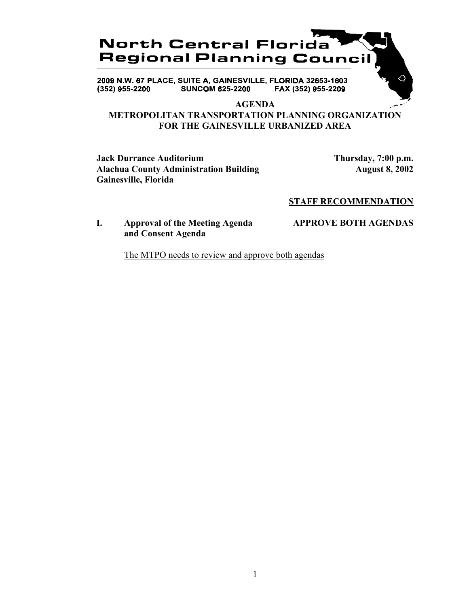

2009 N.W. 67 PLACE, SUITE A, GAINESVILLE, FLORIDA 32653-1603 **SUNCOM 625-2200** FAX (352) 955-2209  $(352)$  955-2200

#### **AGENDA**

# **METROPOLITAN TRANSPORTATION PLANNING ORGANIZATION FOR THE GAINESVILLE URBANIZED AREA**

**Jack Durrance Auditorium Thursday, 7:00 p.m.** Alachua County Administration Building **August 8, 2002 Gainesville, Florida**

△

#### **STAFF RECOMMENDATION**

## **I. Approval of the Meeting Agenda APPROVE BOTH AGENDAS and Consent Agenda**

The MTPO needs to review and approve both agendas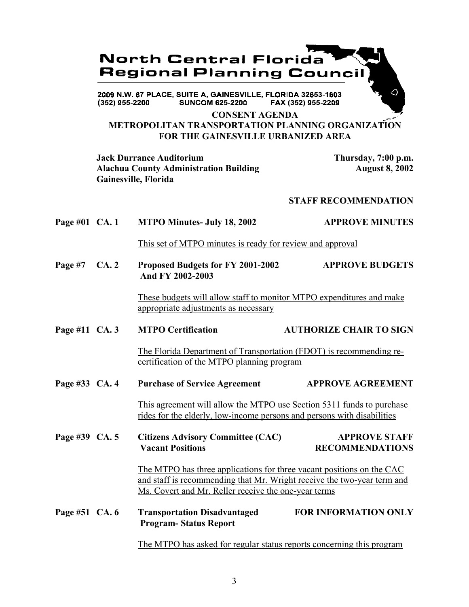

#### **CONSENT AGENDA METROPOLITAN TRANSPORTATION PLANNING ORGANIZATION FOR THE GAINESVILLE URBANIZED AREA**

**Jack Durrance Auditorium Thursday, 7:00 p.m.** Alachua County Administration Building **August 8, 2002 Gainesville, Florida**

#### **STAFF RECOMMENDATION**

Page #01 CA. 1 MTPO Minutes- July 18, 2002 APPROVE MINUTES

This set of MTPO minutes is ready for review and approval

**Page #7 CA. 2 Proposed Budgets for FY 2001-2002 APPROVE BUDGETS And FY 2002-2003**

> These budgets will allow staff to monitor MTPO expenditures and make appropriate adjustments as necessary

Page #11 CA. 3 MTPO Certification **AUTHORIZE CHAIR TO SIGN** 

The Florida Department of Transportation (FDOT) is recommending recertification of the MTPO planning program

Page #33 CA. 4 Purchase of Service Agreement APPROVE AGREEMENT

This agreement will allow the MTPO use Section 5311 funds to purchase rides for the elderly, low-income persons and persons with disabilities

Page #39 CA. 5 Citizens Advisory Committee (CAC) APPROVE STAFF  **Vacant Positions RECOMMENDATIONS**

> The MTPO has three applications for three vacant positions on the CAC and staff is recommending that Mr. Wright receive the two-year term and Ms. Covert and Mr. Reller receive the one-year terms

**Page #51 CA. 6 Transportation Disadvantaged FOR INFORMATION ONLY Program- Status Report**

The MTPO has asked for regular status reports concerning this program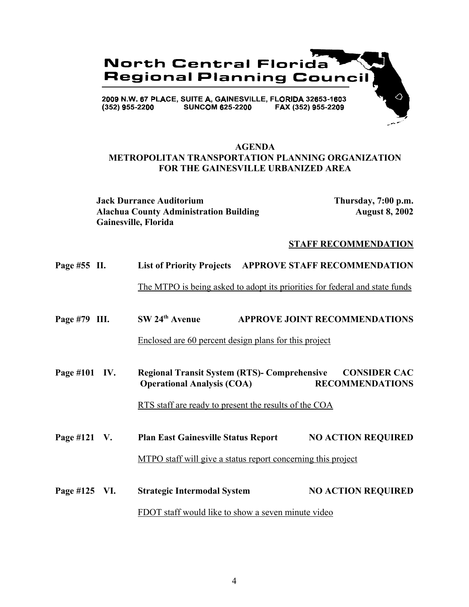

## **AGENDA METROPOLITAN TRANSPORTATION PLANNING ORGANIZATION FOR THE GAINESVILLE URBANIZED AREA**

**Jack Durrance Auditorium Thursday, 7:00 p.m.** Alachua County Administration Building **August 8, 2002 Gainesville, Florida**

#### **STAFF RECOMMENDATION**

| Page #55 II.                                       |                                                                     | <b>List of Priority Projects APPROVE STAFF RECOMMENDATION</b>                            |                                               |
|----------------------------------------------------|---------------------------------------------------------------------|------------------------------------------------------------------------------------------|-----------------------------------------------|
|                                                    |                                                                     | The MTPO is being asked to adopt its priorities for federal and state funds              |                                               |
| Page #79 III.                                      |                                                                     | $SW 24th$ Avenue                                                                         | <b>APPROVE JOINT RECOMMENDATIONS</b>          |
|                                                    |                                                                     | <u>Enclosed are 60 percent design plans for this project</u>                             |                                               |
| Page #101 IV.                                      |                                                                     | <b>Regional Transit System (RTS)- Comprehensive</b><br><b>Operational Analysis (COA)</b> | <b>CONSIDER CAC</b><br><b>RECOMMENDATIONS</b> |
|                                                    | <u>RTS staff are ready to present the results of the COA</u>        |                                                                                          |                                               |
| Page #121 $V$ .                                    |                                                                     | <b>Plan East Gainesville Status Report</b>                                               | <b>NO ACTION REQUIRED</b>                     |
|                                                    | <u>MTPO staff will give a status report concerning this project</u> |                                                                                          |                                               |
| Page #125 VI.                                      |                                                                     | <b>Strategic Intermodal System</b>                                                       | <b>NO ACTION REQUIRED</b>                     |
| FDOT staff would like to show a seven minute video |                                                                     |                                                                                          |                                               |